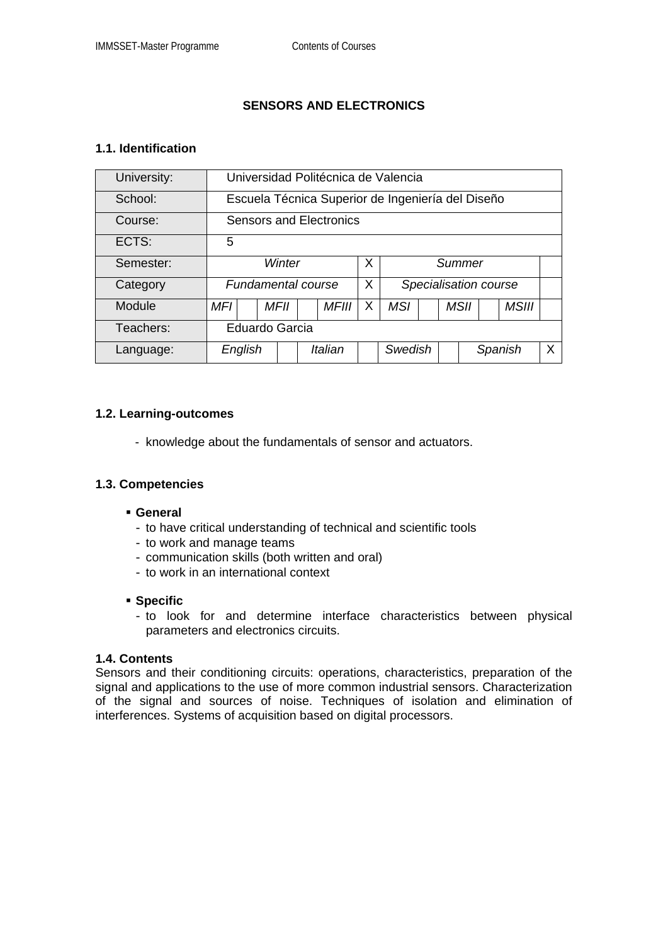# **SENSORS AND ELECTRONICS**

#### **1.1. Identification**

| University: | Universidad Politécnica de Valencia               |      |  |              |   |                       |  |  |             |  |              |  |
|-------------|---------------------------------------------------|------|--|--------------|---|-----------------------|--|--|-------------|--|--------------|--|
| School:     | Escuela Técnica Superior de Ingeniería del Diseño |      |  |              |   |                       |  |  |             |  |              |  |
| Course:     | <b>Sensors and Electronics</b>                    |      |  |              |   |                       |  |  |             |  |              |  |
| ECTS:       | 5                                                 |      |  |              |   |                       |  |  |             |  |              |  |
| Semester:   | Winter                                            |      |  |              | X | Summer                |  |  |             |  |              |  |
| Category    | <b>Fundamental course</b>                         |      |  |              | X | Specialisation course |  |  |             |  |              |  |
| Module      | MFI                                               | MFII |  | <b>MFIII</b> | X | MSI                   |  |  | <b>MSII</b> |  | <b>MSIII</b> |  |
| Teachers:   | Eduardo Garcia                                    |      |  |              |   |                       |  |  |             |  |              |  |
| Language:   | English                                           |      |  | Italian      |   | Swedish               |  |  | Spanish     |  | X            |  |

#### **1.2. Learning-outcomes**

- knowledge about the fundamentals of sensor and actuators.

### **1.3. Competencies**

#### **General**

- to have critical understanding of technical and scientific tools
- to work and manage teams
- communication skills (both written and oral)
- to work in an international context

#### **Specific**

- to look for and determine interface characteristics between physical parameters and electronics circuits.

#### **1.4. Contents**

Sensors and their conditioning circuits: operations, characteristics, preparation of the signal and applications to the use of more common industrial sensors. Characterization of the signal and sources of noise. Techniques of isolation and elimination of interferences. Systems of acquisition based on digital processors.